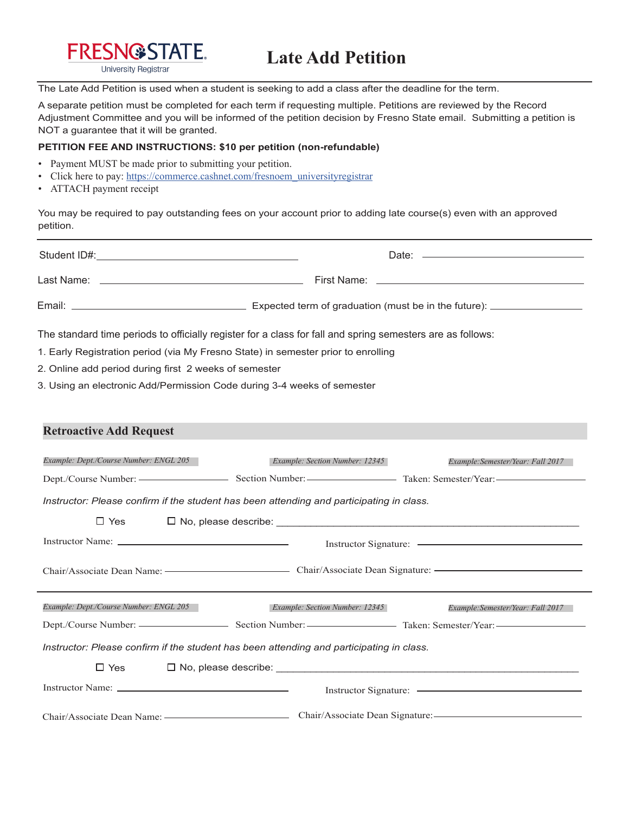

The Late Add Petition is used when a student is seeking to add a class after the deadline for the term.

A separate petition must be completed for each term if requesting multiple. Petitions are reviewed by the Record Adjustment Committee and you will be informed of the petition decision by Fresno State email. Submitting a petition is NOT a guarantee that it will be granted.

## **PETITION FEE AND INSTRUCTIONS: \$10 per petition (non-refundable)**

- Payment MUST be made prior to submitting your petition.
- Click here to pay: https://commerce.cashnet.com/fresnoem\_universityregistrar
- ATTACH payment receipt

You may be required to pay outstanding fees on your account prior to adding late course(s) even with an approved petition.

|                                                                                                            | Date: <u>________________________________</u>                      |  |  |  |
|------------------------------------------------------------------------------------------------------------|--------------------------------------------------------------------|--|--|--|
|                                                                                                            |                                                                    |  |  |  |
|                                                                                                            |                                                                    |  |  |  |
| The standard time periods to officially register for a class for fall and spring semesters are as follows: |                                                                    |  |  |  |
| 1. Early Registration period (via My Fresno State) in semester prior to enrolling                          |                                                                    |  |  |  |
| 2. Online add period during first 2 weeks of semester                                                      |                                                                    |  |  |  |
| 3. Using an electronic Add/Permission Code during 3-4 weeks of semester                                    |                                                                    |  |  |  |
|                                                                                                            |                                                                    |  |  |  |
| <b>Retroactive Add Request</b>                                                                             |                                                                    |  |  |  |
|                                                                                                            |                                                                    |  |  |  |
| Example: Dept./Course Number: ENGL 205                                                                     | Example: Section Number: 12345<br>Example:Semester/Year: Fall 2017 |  |  |  |
|                                                                                                            |                                                                    |  |  |  |
| Instructor: Please confirm if the student has been attending and participating in class.                   |                                                                    |  |  |  |
| $\Box$ Yes                                                                                                 |                                                                    |  |  |  |
|                                                                                                            |                                                                    |  |  |  |
|                                                                                                            |                                                                    |  |  |  |
|                                                                                                            |                                                                    |  |  |  |
|                                                                                                            |                                                                    |  |  |  |
| Example: Dept./Course Number: ENGL 205                                                                     | Example: Section Number: 12345<br>Example:Semester/Year: Fall 2017 |  |  |  |
|                                                                                                            |                                                                    |  |  |  |
| Instructor: Please confirm if the student has been attending and participating in class.                   |                                                                    |  |  |  |
| $\Box$ Yes                                                                                                 | $\Box$ No, please describe: $\Box$                                 |  |  |  |
|                                                                                                            |                                                                    |  |  |  |
|                                                                                                            |                                                                    |  |  |  |